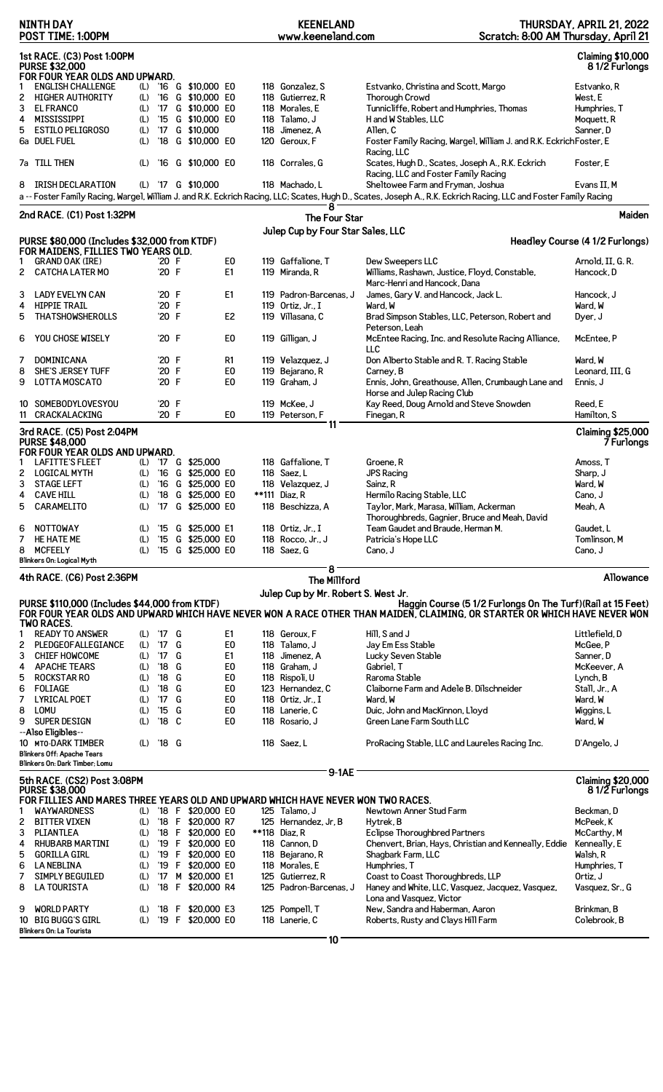|        | <b>NINTH DAY</b><br>POST TIME: 1:00PM                                                                     |            |                                |        |                                        |                      | <b>KEENELAND</b><br>www.keeneland.com      | Scratch: 8:00 AM Thursday, April 21                                                                                                                               | THURSDAY, APRIL 21, 2022                  |
|--------|-----------------------------------------------------------------------------------------------------------|------------|--------------------------------|--------|----------------------------------------|----------------------|--------------------------------------------|-------------------------------------------------------------------------------------------------------------------------------------------------------------------|-------------------------------------------|
|        | 1st RACE. (C3) Post 1:00PM<br><b>PURSE \$32,000</b>                                                       |            |                                |        |                                        |                      |                                            |                                                                                                                                                                   | <b>Claiming \$10,000</b><br>81/2 Furlongs |
|        | FOR FOUR YEAR OLDS AND UPWARD.<br><b>ENGLISH CHALLENGE</b>                                                |            |                                |        | (L) '16 G \$10,000 E0                  |                      | 118 Gonzalez, S                            | Estvanko, Christina and Scott, Margo                                                                                                                              | Estvanko, R                               |
| 2      | <b>HIGHER AUTHORITY</b>                                                                                   | (L)        |                                |        | '16 G \$10,000 E0                      |                      | 118 Gutierrez, R                           | <b>Thorough Crowd</b>                                                                                                                                             | West, E                                   |
| 3      | <b>EL FRANCO</b>                                                                                          | (L)        | '17                            |        | G \$10,000 E0                          |                      | 118 Morales, E                             | Tunnicliffe, Robert and Humphries, Thomas                                                                                                                         | Humphries, T                              |
| 4      | MISSISSIPPI                                                                                               | (L)        |                                |        | '15 G \$10,000 E0                      |                      | 118 Talamo, J                              | H and W Stables, LLC                                                                                                                                              | Moquett, R                                |
| 5      | <b>ESTILO PELIGROSO</b>                                                                                   | (L)        | $^{\prime}$ 17                 |        | G \$10,000                             |                      | 118 Jimenez, A                             | Allen. C                                                                                                                                                          | Sanner, D                                 |
|        | 6a DUEL FUEL                                                                                              | (L)        | $^{\prime}18$                  |        | G \$10,000 E0                          |                      | 120 Geroux, F                              | Foster Family Racing, Wargel, William J. and R.K. Eckrich Foster, E<br>Racing, LLC                                                                                |                                           |
|        | 7a TILL THEN                                                                                              | (L)        |                                |        | '16 G \$10,000 E0                      |                      | 118 Corrales, G                            | Scates, Hugh D., Scates, Joseph A., R.K. Eckrich<br>Racing, LLC and Foster Family Racing                                                                          | Foster, E                                 |
| 8      | <b>IRISH DECLARATION</b>                                                                                  |            |                                |        | (L) '17 G \$10,000                     |                      | 118 Machado, L                             | Sheltowee Farm and Fryman, Joshua                                                                                                                                 | Evans II, M                               |
|        |                                                                                                           |            |                                |        |                                        |                      | 8                                          | a -- Foster Family Racing, Wargel, William J. and R.K. Eckrich Racing, LLC; Scates, Hugh D., Scates, Joseph A., R.K. Eckrich Racing, LLC and Foster Family Racing |                                           |
|        | 2nd RACE. (C1) Post 1:32PM                                                                                |            |                                |        |                                        |                      | The Four Star                              |                                                                                                                                                                   | Maiden                                    |
|        | PURSE \$80,000 (Includes \$32,000 from KTDF)                                                              |            |                                |        |                                        |                      | Julep Cup by Four Star Sales, LLC          |                                                                                                                                                                   | Headley Course (4 1/2 Furlongs)           |
|        | FOR MAIDENS, FILLIES TWO YEARS OLD.                                                                       |            |                                |        |                                        |                      |                                            |                                                                                                                                                                   |                                           |
| 2      | <b>GRAND OAK (IRE)</b><br><b>CATCHA LATER MO</b>                                                          |            | '20 F<br>'20 F                 |        |                                        | E <sub>0</sub><br>E1 | 119 Gaffalione, T<br>119 Miranda, R        | Dew Sweepers LLC<br>Williams, Rashawn, Justice, Floyd, Constable,                                                                                                 | Arnold, II, G. R.<br>Hancock, D           |
|        |                                                                                                           |            |                                |        |                                        |                      |                                            | Marc-Henri and Hancock, Dana                                                                                                                                      |                                           |
| 3      | LADY EVELYN CAN                                                                                           |            | '20 F                          |        |                                        | E1                   | 119 Padron-Barcenas, J                     | James, Gary V. and Hancock, Jack L.                                                                                                                               | Hancock, J                                |
| 4      | <b>HIPPIE TRAIL</b>                                                                                       |            | '20 F                          |        |                                        |                      | 119 Ortiz, Jr., I                          | Ward, W                                                                                                                                                           | Ward, W                                   |
| 5      | <b>THATSHOWSHEROLLS</b>                                                                                   |            | '20 F                          |        |                                        | E <sub>2</sub>       | 119 Villasana, C                           | Brad Simpson Stables, LLC, Peterson, Robert and                                                                                                                   | Dyer, J                                   |
| 6      | YOU CHOSE WISELY                                                                                          |            | '20 F                          |        |                                        | E0                   | 119 Gilligan, J                            | Peterson, Leah<br>McEntee Racing, Inc. and Resolute Racing Alliance,                                                                                              | McEntee, P                                |
|        |                                                                                                           |            |                                |        |                                        |                      |                                            | LLC                                                                                                                                                               |                                           |
| 7<br>8 | DOMINICANA<br>SHE'S JERSEY TUFF                                                                           |            | '20 F<br>'20 F                 |        |                                        | R1<br>E <sub>0</sub> | 119 Velazquez, J<br>119 Bejarano, R        | Don Alberto Stable and R. T. Racing Stable<br>Carney, B                                                                                                           | Ward, W<br>Leonard, III, G                |
| 9      | <b>LOTTA MOSCATO</b>                                                                                      |            | '20 F                          |        |                                        | E <sub>0</sub>       | 119 Graham, J                              | Ennis, John, Greathouse, Allen, Crumbaugh Lane and                                                                                                                | Ennis, J                                  |
|        |                                                                                                           |            |                                |        |                                        |                      |                                            | Horse and Julep Racing Club                                                                                                                                       |                                           |
|        | 10 SOMEBODYLOVESYOU<br>11 CRACKALACKING                                                                   |            | '20 F<br>'20 F                 |        |                                        | E0                   | 119 McKee, J<br>119 Peterson, F            | Kay Reed, Doug Arnold and Steve Snowden                                                                                                                           | Reed, E<br>Hamilton, S                    |
|        |                                                                                                           |            |                                |        |                                        |                      | 11                                         | Finegan, R                                                                                                                                                        |                                           |
|        | 3rd RACE. (C5) Post 2:04PM<br><b>PURSE \$48,000</b><br>FOR FOUR YEAR OLDS AND UPWARD.                     |            |                                |        |                                        |                      |                                            |                                                                                                                                                                   | <b>Claiming \$25,000</b><br>7 Furlongs    |
|        | LAFITTE'S FLEET                                                                                           |            |                                |        | (L) '17 G \$25,000                     |                      | 118 Gaffalione, T                          | Groene, R                                                                                                                                                         | Amoss, T                                  |
| 2      | LOGICAL MYTH                                                                                              | (L)        |                                |        | '16 G \$25,000 E0                      |                      | 118 Saez, L                                | <b>JPS Racing</b>                                                                                                                                                 | Sharp, J                                  |
| 3      | <b>STAGE LEFT</b>                                                                                         | (L)        |                                |        | '16 G \$25,000 E0                      |                      | 118 Velazquez, J                           | Sainz, R                                                                                                                                                          | Ward. W                                   |
| 4<br>5 | <b>CAVE HILL</b><br>CARAMELITO                                                                            | (L)<br>(L) |                                |        | '18 G \$25,000 E0<br>'17 G \$25,000 E0 |                      | **111 Diaz, R<br>118 Beschizza, A          | Hermilo Racing Stable, LLC<br>Taylor, Mark, Marasa, William, Ackerman                                                                                             | Cano, J<br>Meah, A                        |
|        |                                                                                                           |            |                                |        |                                        |                      |                                            | Thoroughbreds, Gagnier, Bruce and Meah, David                                                                                                                     |                                           |
| 6      | <b>NOTTOWAY</b>                                                                                           | (L)        | '15                            |        | G \$25,000 E1                          |                      | 118 Ortiz. Jr., I                          | Team Gaudet and Braude, Herman M.                                                                                                                                 | Gaudet, L                                 |
| 7      | HE HATE ME                                                                                                | (L)        | $^{\prime}15$                  |        | G \$25,000 EO                          |                      | 118 Rocco, Jr., J                          | Patricia's Hope LLC                                                                                                                                               | Tomlinson, M                              |
| 8      | <b>MCFEELY</b><br>Blinkers On: Logical Myth                                                               | (L)        |                                |        | '15 G \$25,000 E0                      |                      | 118 Saez, G                                | Cano, J                                                                                                                                                           | Cano, J                                   |
|        |                                                                                                           |            |                                |        |                                        |                      | 8                                          |                                                                                                                                                                   |                                           |
|        | 4th RACE. (C6) Post 2:36PM                                                                                |            |                                |        |                                        |                      | <b>The Millford</b>                        |                                                                                                                                                                   | Allowance                                 |
|        | PURSE \$110,000 (Includes \$44,000 from KTDF)                                                             |            |                                |        |                                        |                      | Julep Cup by Mr. Robert S. West Jr.        | Haggin Course (5 1/2 Furlongs On The Turf) (Rail at 15 Feet)                                                                                                      |                                           |
|        | <b>TWO RACES.</b>                                                                                         |            |                                |        |                                        |                      |                                            | FOR FOUR YEAR OLDS AND UPWARD WHICH HAVE NEVER WON A RACE OTHER THAN MAIDEN, CLAIMING, OR STARTER OR WHICH HAVE NEVER WON                                         |                                           |
| 1      | <b>READY TO ANSWER</b>                                                                                    | (L)        | '17 G                          |        |                                        | E1                   | 118 Geroux, F                              | Hill, S and J                                                                                                                                                     | Littlefield, D                            |
| 2      | PLEDGEOFALLEGIANCE                                                                                        | (L)        | '17                            | G      |                                        | E <sub>0</sub>       | 118 Talamo, J                              | Jay Em Ess Stable                                                                                                                                                 | McGee, P                                  |
| 3      | <b>CHIEF HOWCOME</b>                                                                                      | (L)        | 17                             | G      |                                        | E <sub>1</sub>       | 118 Jimenez, A                             | Lucky Seven Stable                                                                                                                                                | Sanner, D                                 |
| 4      | <b>APACHE TEARS</b>                                                                                       | (L)        | $^{\prime}18$                  | G      |                                        | E <sub>0</sub>       | 118 Graham, J                              | Gabriel, T                                                                                                                                                        | McKeever, A                               |
| 5      | <b>ROCKSTAR RO</b>                                                                                        | (L)        | $^{\prime}18$                  | G<br>G |                                        | E <sub>0</sub>       | 118 Rispoli, U                             | Raroma Stable                                                                                                                                                     | Lynch, B                                  |
| 6<br>7 | <b>FOLIAGE</b><br><b>LYRICAL POET</b>                                                                     | (L)<br>(L) | $^{\prime}18$<br>$^{\prime}17$ | G      |                                        | E <sub>0</sub><br>E0 | 123 Hernandez, C<br>118 Ortiz, Jr., I      | Claiborne Farm and Adele B. Dilschneider<br>Ward, W                                                                                                               | Stall, Jr., A<br>Ward, W                  |
| 8      | LOMU                                                                                                      | (L)        | $^{\prime}15$                  | G      |                                        | E <sub>0</sub>       | 118 Lanerie, C                             | Duic, John and MacKinnon, Lloyd                                                                                                                                   | Wiggins, L                                |
| 9      | SUPER DESIGN                                                                                              | (L)        | $^{\prime}$ 18                 | C      |                                        | E <sub>0</sub>       | 118 Rosario, J                             | Green Lane Farm South LLC                                                                                                                                         | Ward, W                                   |
|        | --Also Eligibles--                                                                                        |            |                                |        |                                        |                      |                                            |                                                                                                                                                                   |                                           |
|        | 10 MTO-DARK TIMBER                                                                                        | (L)        | '18 G                          |        |                                        |                      | 118 Saez, L                                | ProRacing Stable, LLC and Laureles Racing Inc.                                                                                                                    | D'Angelo, J                               |
|        | <b>Blinkers Off: Apache Tears</b><br>Blinkers On: Dark Timber: Lomu                                       |            |                                |        |                                        |                      |                                            |                                                                                                                                                                   |                                           |
|        | 5th RACE. (CS2) Post 3:08PM                                                                               |            |                                |        |                                        |                      | $9-1AE$                                    |                                                                                                                                                                   | <b>Claiming \$20,000</b>                  |
|        | <b>PURSE \$38,000</b><br>FOR FILLIES AND MARES THREE YEARS OLD AND UPWARD WHICH HAVE NEVER WON TWO RACES. |            |                                |        |                                        |                      |                                            |                                                                                                                                                                   | 81/2 Furlongs                             |
|        | <b>WAYWARDNESS</b>                                                                                        | (L)        |                                |        | '18 F \$20,000 E0                      |                      | 125 Talamo, J                              | Newtown Anner Stud Farm                                                                                                                                           | Beckman, D                                |
| 2      | <b>BITTER VIXEN</b>                                                                                       | (L)        |                                |        | '18 F \$20,000 R7                      |                      | 125 Hernandez, Jr, B                       | Hytrek, B                                                                                                                                                         | McPeek, K                                 |
| 3      | PLIANTLEA                                                                                                 | (L)        |                                |        | '18 F \$20,000 E0                      |                      | **118 Diaz, R                              | Eclipse Thoroughbred Partners                                                                                                                                     | McCarthy, M                               |
| 4      | <b>RHUBARB MARTINI</b>                                                                                    | (L)        |                                |        | '19 F \$20,000 E0                      |                      | 118 Cannon, D                              | Chenvert, Brian, Hays, Christian and Kenneally, Eddie                                                                                                             | Kenneally, E                              |
| 5      | <b>GORILLA GIRL</b>                                                                                       | (L)        |                                |        | '19 F \$20,000 E0                      |                      | 118 Bejarano, R                            | Shagbark Farm, LLC                                                                                                                                                | Walsh, R                                  |
| 6      | <b>LA NEBLINA</b>                                                                                         | (L)        |                                |        | '19 F \$20,000 E0                      |                      | 118 Morales, E                             | Humphries, T                                                                                                                                                      | Humphries, T                              |
| 7<br>8 | <b>SIMPLY BEGUILED</b><br><b>LA TOURISTA</b>                                                              | (L)<br>(L) | '17                            |        | M \$20,000 E1<br>'18 F \$20,000 R4     |                      | 125 Gutierrez, R<br>125 Padron-Barcenas, J | Coast to Coast Thoroughbreds, LLP<br>Haney and White, LLC, Vasquez, Jacquez, Vasquez,                                                                             | Ortiz, J                                  |
|        |                                                                                                           |            |                                |        |                                        |                      |                                            | Lona and Vasquez, Victor                                                                                                                                          | Vasquez, Sr., G                           |
| 9      | <b>WORLD PARTY</b>                                                                                        | (L)        |                                |        | '18 F \$20,000 E3                      |                      | 125 Pompell, T                             | New, Sandra and Haberman, Aaron                                                                                                                                   | Brinkman, B                               |
| 10     | <b>BIG BUGG'S GIRL</b>                                                                                    | (L)        |                                |        | '19 F \$20,000 E0                      |                      | 118 Lanerie, C                             | Roberts, Rusty and Clays Hill Farm                                                                                                                                | Colebrook, B                              |
|        | Blinkers On: La Tourista                                                                                  |            |                                |        |                                        |                      | 10                                         |                                                                                                                                                                   |                                           |
|        |                                                                                                           |            |                                |        |                                        |                      |                                            |                                                                                                                                                                   |                                           |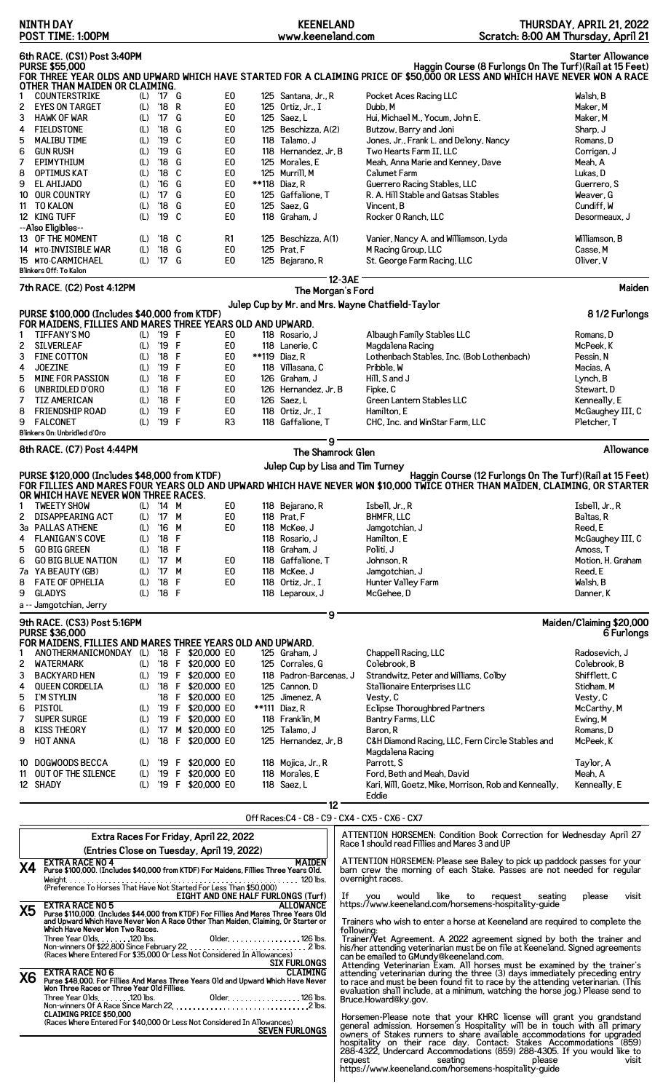|                                                                                                                                                                                                                                                                                                                                                                                                                                                                                                    | NINTH DAY<br>POST TIME: 1:00PM                                                                                                                                                                                                          |                                        |                                                        |        |                                                |  | <b>KEENELAND</b><br>www.keeneland.com                                                                                                              |                 |            |                                                                                                                                                                                                                                                                        | Scratch: 8:00 AM Thursday, April 21                      | THURSDAY, APRIL 21, 2022                                                                                           |
|----------------------------------------------------------------------------------------------------------------------------------------------------------------------------------------------------------------------------------------------------------------------------------------------------------------------------------------------------------------------------------------------------------------------------------------------------------------------------------------------------|-----------------------------------------------------------------------------------------------------------------------------------------------------------------------------------------------------------------------------------------|----------------------------------------|--------------------------------------------------------|--------|------------------------------------------------|--|----------------------------------------------------------------------------------------------------------------------------------------------------|-----------------|------------|------------------------------------------------------------------------------------------------------------------------------------------------------------------------------------------------------------------------------------------------------------------------|----------------------------------------------------------|--------------------------------------------------------------------------------------------------------------------|
|                                                                                                                                                                                                                                                                                                                                                                                                                                                                                                    | 6th RACE. (CS1) Post 3:40PM                                                                                                                                                                                                             |                                        |                                                        |        |                                                |  |                                                                                                                                                    |                 |            |                                                                                                                                                                                                                                                                        |                                                          | <b>Starter Allowance</b>                                                                                           |
|                                                                                                                                                                                                                                                                                                                                                                                                                                                                                                    | <b>PURSE \$55,000</b>                                                                                                                                                                                                                   |                                        |                                                        |        |                                                |  |                                                                                                                                                    |                 |            | FOR THREE YEAR OLDS AND UPWARD WHICH HAVE STARTED FOR A CLAIMING PRICE OF \$50,000 OR LESS AND WHICH HAVE NEVER WON A RACE                                                                                                                                             | Haggin Course (8 Furlongs On The Turf) (Rail at 15 Feet) |                                                                                                                    |
| 1                                                                                                                                                                                                                                                                                                                                                                                                                                                                                                  | OTHER THAN MAIDEN OR CLAIMING.<br><b>COUNTERSTRIKE</b>                                                                                                                                                                                  |                                        | (L) '17 G                                              |        | E <sub>0</sub>                                 |  | 125 Santana, Jr., R                                                                                                                                |                 |            | Pocket Aces Racing LLC                                                                                                                                                                                                                                                 |                                                          | Walsh, B                                                                                                           |
| 2                                                                                                                                                                                                                                                                                                                                                                                                                                                                                                  | <b>EYES ON TARGET</b>                                                                                                                                                                                                                   | (L)                                    | '18                                                    | R      | E <sub>0</sub>                                 |  | 125 Ortiz, Jr., I                                                                                                                                  |                 |            | Dubb, M                                                                                                                                                                                                                                                                |                                                          | Maker, M                                                                                                           |
| 3<br>4                                                                                                                                                                                                                                                                                                                                                                                                                                                                                             | <b>HAWK OF WAR</b><br><b>FIELDSTONE</b>                                                                                                                                                                                                 | (L)<br>(L)                             | $^{\prime}$ 17<br>$^{\prime}18$                        | G<br>G | E <sub>0</sub><br>E <sub>0</sub>               |  | 125 Saez, L<br>125 Beschizza, A(2)                                                                                                                 |                 |            | Hui, Michael M., Yocum, John E.<br>Butzow, Barry and Joni                                                                                                                                                                                                              |                                                          | Maker, M<br>Sharp, J                                                                                               |
| 5                                                                                                                                                                                                                                                                                                                                                                                                                                                                                                  | <b>MALIBU TIME</b>                                                                                                                                                                                                                      | (L)                                    | $^{\prime}$ 19                                         | C      | E <sub>0</sub>                                 |  | 118 Talamo, J                                                                                                                                      |                 |            | Jones, Jr., Frank L. and Delony, Nancy                                                                                                                                                                                                                                 |                                                          | Romans, D                                                                                                          |
| 6                                                                                                                                                                                                                                                                                                                                                                                                                                                                                                  | <b>GUN RUSH</b>                                                                                                                                                                                                                         | (L)                                    | '19                                                    | G      | E <sub>0</sub>                                 |  | 118 Hernandez, Jr, B                                                                                                                               |                 |            | Two Hearts Farm II, LLC                                                                                                                                                                                                                                                |                                                          | Corrigan, J                                                                                                        |
| 7<br>8                                                                                                                                                                                                                                                                                                                                                                                                                                                                                             | EPIMYTHIUM<br><b>OPTIMUS KAT</b>                                                                                                                                                                                                        | (L)<br>(L)                             | $^{\prime}18$<br>$^{\prime}18$                         | G<br>C | E <sub>0</sub><br>E <sub>0</sub>               |  | 125 Morales, E<br>125 Murrill, M                                                                                                                   |                 |            | Meah, Anna Marie and Kenney, Dave<br>Calumet Farm                                                                                                                                                                                                                      |                                                          | Meah, A<br>Lukas. D                                                                                                |
| 9                                                                                                                                                                                                                                                                                                                                                                                                                                                                                                  | EL AHIJADO                                                                                                                                                                                                                              | (L)                                    | $^{\prime}16$                                          | G      | E <sub>0</sub>                                 |  | **118 Diaz, R                                                                                                                                      |                 |            | Guerrero Racing Stables, LLC                                                                                                                                                                                                                                           |                                                          | Guerrero, S                                                                                                        |
|                                                                                                                                                                                                                                                                                                                                                                                                                                                                                                    | 10 OUR COUNTRY<br>11 TO KALON                                                                                                                                                                                                           | (L)<br>(L)                             | '17<br>$^{\prime}18$                                   | G<br>G | E <sub>0</sub><br>E <sub>0</sub>               |  | 125 Gaffalione, T<br>125 Saez, G                                                                                                                   |                 |            | R. A. Hill Stable and Gatsas Stables<br>Vincent, B                                                                                                                                                                                                                     |                                                          | Weaver, G<br>Cundiff, W                                                                                            |
|                                                                                                                                                                                                                                                                                                                                                                                                                                                                                                    | 12 KING TUFF                                                                                                                                                                                                                            | (L)                                    | '19                                                    | C      | E0                                             |  | 118 Graham, J                                                                                                                                      |                 |            | Rocker 0 Ranch, LLC                                                                                                                                                                                                                                                    |                                                          | Desormeaux, J                                                                                                      |
|                                                                                                                                                                                                                                                                                                                                                                                                                                                                                                    | --Also Eligibles--<br>13 OF THE MOMENT                                                                                                                                                                                                  | (L)                                    | '18 C                                                  |        | R1                                             |  | 125 Beschizza, A(1)                                                                                                                                |                 |            | Vanier, Nancy A. and Williamson, Lyda                                                                                                                                                                                                                                  |                                                          | Williamson, B                                                                                                      |
|                                                                                                                                                                                                                                                                                                                                                                                                                                                                                                    | 14 MTO-INVISIBLE WAR                                                                                                                                                                                                                    | (L)                                    | $^{\prime}18$                                          | G      | E <sub>0</sub>                                 |  | 125 Prat, F                                                                                                                                        |                 |            | M Racing Group, LLC                                                                                                                                                                                                                                                    |                                                          | Casse, M                                                                                                           |
|                                                                                                                                                                                                                                                                                                                                                                                                                                                                                                    | 15 MTO-CARMICHAEL<br><b>Blinkers Off: To Kalon</b>                                                                                                                                                                                      | (L)                                    | '17 G                                                  |        | E0                                             |  | 125 Bejarano, R                                                                                                                                    |                 |            | St. George Farm Racing, LLC                                                                                                                                                                                                                                            |                                                          | Oliver, V                                                                                                          |
|                                                                                                                                                                                                                                                                                                                                                                                                                                                                                                    | 7th RACE. (C2) Post 4:12PM                                                                                                                                                                                                              |                                        |                                                        |        |                                                |  |                                                                                                                                                    |                 | 12-3AE     |                                                                                                                                                                                                                                                                        |                                                          | Maiden                                                                                                             |
|                                                                                                                                                                                                                                                                                                                                                                                                                                                                                                    |                                                                                                                                                                                                                                         |                                        |                                                        |        |                                                |  | The Morgan's Ford                                                                                                                                  |                 |            | Julep Cup by Mr. and Mrs. Wayne Chatfield-Taylor                                                                                                                                                                                                                       |                                                          |                                                                                                                    |
|                                                                                                                                                                                                                                                                                                                                                                                                                                                                                                    | PURSE \$100,000 (Includes \$40,000 from KTDF)                                                                                                                                                                                           |                                        |                                                        |        |                                                |  |                                                                                                                                                    |                 |            |                                                                                                                                                                                                                                                                        |                                                          | 81/2 Furlongs                                                                                                      |
| 1                                                                                                                                                                                                                                                                                                                                                                                                                                                                                                  | FOR MAIDENS, FILLIES AND MARES THREE YEARS OLD AND UPWARD.<br><b>TIFFANY'S MO</b>                                                                                                                                                       |                                        | (L) '19 F                                              |        | E0                                             |  | 118 Rosario, J                                                                                                                                     |                 |            | Albaugh Family Stables LLC                                                                                                                                                                                                                                             |                                                          | Romans, D                                                                                                          |
| 2                                                                                                                                                                                                                                                                                                                                                                                                                                                                                                  | SILVERLEAF                                                                                                                                                                                                                              | (L)                                    | '19 F                                                  |        | E <sub>0</sub>                                 |  | 118 Lanerie, C                                                                                                                                     |                 |            | Magdalena Racing                                                                                                                                                                                                                                                       |                                                          | McPeek, K                                                                                                          |
| 3<br>4                                                                                                                                                                                                                                                                                                                                                                                                                                                                                             | <b>FINE COTTON</b><br><b>JOEZINE</b>                                                                                                                                                                                                    | (L)<br>(L)                             | $'18$ F<br>'19                                         | -F     | E <sub>0</sub><br>E <sub>0</sub>               |  | **119 Diaz, R<br>118 Villasana, C                                                                                                                  |                 |            | Lothenbach Stables, Inc. (Bob Lothenbach)<br>Pribble, W                                                                                                                                                                                                                |                                                          | Pessin, N<br>Macias, A                                                                                             |
| 5                                                                                                                                                                                                                                                                                                                                                                                                                                                                                                  | <b>MINE FOR PASSION</b>                                                                                                                                                                                                                 | (L)                                    | '18 F                                                  |        | E <sub>0</sub>                                 |  | 126 Graham, J                                                                                                                                      |                 |            | Hill, S and J                                                                                                                                                                                                                                                          |                                                          | Lynch, B                                                                                                           |
| 6<br>7                                                                                                                                                                                                                                                                                                                                                                                                                                                                                             | UNBRIDLED D'ORO<br><b>TIZ AMERICAN</b>                                                                                                                                                                                                  | (L)<br>(L)                             | $'18$ F<br>$^{\prime}18$                               | F      | E <sub>0</sub><br>E <sub>0</sub>               |  | 126 Hernandez, Jr, B<br>126 Saez, L                                                                                                                |                 |            | Fipke, C<br>Green Lantern Stables LLC                                                                                                                                                                                                                                  |                                                          | Stewart, D<br>Kenneally, E                                                                                         |
| 8                                                                                                                                                                                                                                                                                                                                                                                                                                                                                                  | FRIENDSHIP ROAD                                                                                                                                                                                                                         | (L)                                    | '19                                                    | F      | E <sub>0</sub>                                 |  | 118 Ortiz, Jr., I                                                                                                                                  |                 |            | Hamilton, E                                                                                                                                                                                                                                                            |                                                          | McGaughey III, C                                                                                                   |
| 9                                                                                                                                                                                                                                                                                                                                                                                                                                                                                                  | <b>FALCONET</b><br>Blinkers On: Unbridled d'Oro                                                                                                                                                                                         | (L)                                    | '19 F                                                  |        | R <sub>3</sub>                                 |  | 118 Gaffalione, T                                                                                                                                  |                 |            | CHC, Inc. and WinStar Farm, LLC                                                                                                                                                                                                                                        |                                                          | Pletcher, T                                                                                                        |
|                                                                                                                                                                                                                                                                                                                                                                                                                                                                                                    | 8th RACE. (C7) Post 4:44PM                                                                                                                                                                                                              |                                        |                                                        |        |                                                |  |                                                                                                                                                    | 9               |            |                                                                                                                                                                                                                                                                        |                                                          | Allowance                                                                                                          |
|                                                                                                                                                                                                                                                                                                                                                                                                                                                                                                    |                                                                                                                                                                                                                                         |                                        |                                                        |        |                                                |  | The Shamrock Glen<br>Julep Cup by Lisa and Tim Turney                                                                                              |                 |            |                                                                                                                                                                                                                                                                        |                                                          |                                                                                                                    |
| 4<br>5<br>6<br>8                                                                                                                                                                                                                                                                                                                                                                                                                                                                                   | OR WHICH HAVE NEVER WON THREE RACES.<br>1 TWEETY SHOW<br>(L) '14 M<br>DISAPPEARING ACT<br>3a PALLAS ATHENE<br><b>FLANIGAN'S COVE</b><br><b>GO BIG GREEN</b><br><b>GO BIG BLUE NATION</b><br>7a YA BEAUTY (GB)<br><b>FATE OF OPHELIA</b> | (L)<br>(L)<br>(L)<br>(L)<br>(L)<br>(L) | '17 M<br>'18 F<br>'18 F<br>(L) '17 M<br>'17 M<br>'18 F | '16 M  | E0<br>E0<br>E0<br>E0<br>E <sub>0</sub><br>E0   |  | 118 Bejarano, R<br><b>118 Prat. F</b><br>118 McKee, J<br>118 Rosario, J<br>118 Graham, J<br>118 Gaffalione, T<br>118 McKee, J<br>118 Ortiz, Jr., I |                 |            | FOR FILLIES AND MARES FOUR YEARS OLD AND UPWARD WHICH HAVE NEVER WON \$10,000 TWICE OTHER THAN MAIDEN, CLAIMING, OR STARTER<br>Isbell, Jr., R<br><b>BHMFR, LLC</b><br>Jamgotchian, J<br>Hamilton, E<br>Politi, J<br>Johnson, R<br>Jamgotchian, J<br>Hunter Valley Farm |                                                          | Isbell, Jr., R<br>Baltas, R<br>Reed, E<br>McGaughey III, C<br>Amoss, T<br>Motion, H. Graham<br>Reed, E<br>Walsh, B |
| 9                                                                                                                                                                                                                                                                                                                                                                                                                                                                                                  | <b>GLADYS</b><br>a -- Jamgotchian, Jerry                                                                                                                                                                                                |                                        | $(L)$ '18 F                                            |        |                                                |  | 118 Leparoux, J                                                                                                                                    |                 |            | McGehee, D                                                                                                                                                                                                                                                             |                                                          | Danner, K                                                                                                          |
|                                                                                                                                                                                                                                                                                                                                                                                                                                                                                                    | 9th RACE. (CS3) Post 5:16PM                                                                                                                                                                                                             |                                        |                                                        |        |                                                |  |                                                                                                                                                    | 9               |            |                                                                                                                                                                                                                                                                        |                                                          | Maiden/Claiming \$20,000                                                                                           |
|                                                                                                                                                                                                                                                                                                                                                                                                                                                                                                    | <b>PURSE \$36,000</b><br>FOR MAIDENS, FILLIES AND MARES THREE YEARS OLD AND UPWARD.                                                                                                                                                     |                                        |                                                        |        |                                                |  |                                                                                                                                                    |                 |            |                                                                                                                                                                                                                                                                        |                                                          | 6 Furlongs                                                                                                         |
| 1                                                                                                                                                                                                                                                                                                                                                                                                                                                                                                  | ANOTHERMANICMONDAY (L) '18 F \$20,000 EO                                                                                                                                                                                                |                                        |                                                        |        |                                                |  | 125 Graham, J                                                                                                                                      |                 |            | Chappell Racing, LLC                                                                                                                                                                                                                                                   |                                                          | Radosevich, J                                                                                                      |
| 2<br>3                                                                                                                                                                                                                                                                                                                                                                                                                                                                                             | <b>WATERMARK</b><br><b>BACKYARD HEN</b>                                                                                                                                                                                                 |                                        |                                                        |        | (L) '18 F \$20,000 E0<br>(L) '19 F \$20,000 E0 |  | 125 Corrales, G<br>118 Padron-Barcenas, J                                                                                                          |                 |            | Colebrook, B<br>Strandwitz, Peter and Williams, Colby                                                                                                                                                                                                                  |                                                          | Colebrook, B<br>Shifflett, C                                                                                       |
| 4                                                                                                                                                                                                                                                                                                                                                                                                                                                                                                  | <b>QUEEN CORDELIA</b>                                                                                                                                                                                                                   |                                        |                                                        |        | (L) '18 F \$20,000 E0                          |  | 125 Cannon, D                                                                                                                                      |                 |            | Stallionaire Enterprises LLC                                                                                                                                                                                                                                           |                                                          | Stidham, M                                                                                                         |
| 5<br>6                                                                                                                                                                                                                                                                                                                                                                                                                                                                                             | I'M STYLIN<br>PISTOL                                                                                                                                                                                                                    |                                        |                                                        |        | '18 F \$20,000 E0<br>(L) '19 F \$20,000 E0     |  | 125 Jimenez, A<br>**111 Diaz, R                                                                                                                    |                 |            | Vesty, C<br>Eclipse Thoroughbred Partners                                                                                                                                                                                                                              |                                                          | Vesty, C<br>McCarthy, M                                                                                            |
| 7                                                                                                                                                                                                                                                                                                                                                                                                                                                                                                  | SUPER SURGE                                                                                                                                                                                                                             | (L)                                    |                                                        |        | '19 F \$20,000 E0                              |  | 118 Franklin, M                                                                                                                                    |                 |            | Bantry Farms, LLC                                                                                                                                                                                                                                                      |                                                          | Ewing, M                                                                                                           |
| 8                                                                                                                                                                                                                                                                                                                                                                                                                                                                                                  | <b>KISS THEORY</b>                                                                                                                                                                                                                      | (L)                                    |                                                        |        | '17 M \$20,000 E0                              |  | 125 Talamo, J                                                                                                                                      |                 |            | Baron, R                                                                                                                                                                                                                                                               |                                                          | Romans, D                                                                                                          |
| 9                                                                                                                                                                                                                                                                                                                                                                                                                                                                                                  | <b>HOT ANNA</b>                                                                                                                                                                                                                         | (L)                                    |                                                        |        | '18 F \$20,000 E0                              |  | 125 Hernandez, Jr, B                                                                                                                               |                 |            | C&H Diamond Racing, LLC, Fern Circle Stables and<br>Magdalena Racing                                                                                                                                                                                                   |                                                          | McPeek, K                                                                                                          |
|                                                                                                                                                                                                                                                                                                                                                                                                                                                                                                    | 10 DOGWOODS BECCA                                                                                                                                                                                                                       |                                        |                                                        |        | (L) '19 F \$20,000 E0                          |  | 118 Mojica, Jr., R                                                                                                                                 |                 |            | Parrott, S                                                                                                                                                                                                                                                             |                                                          | Taylor, A                                                                                                          |
|                                                                                                                                                                                                                                                                                                                                                                                                                                                                                                    | 11 OUT OF THE SILENCE<br>12 SHADY                                                                                                                                                                                                       |                                        |                                                        |        | (L) '19 F \$20,000 E0<br>(L) '19 F \$20,000 E0 |  | 118 Morales, E<br>118 Saez, L                                                                                                                      |                 |            | Ford, Beth and Meah, David<br>Kari, Will, Goetz, Mike, Morrison, Rob and Kenneally,                                                                                                                                                                                    |                                                          | Meah, A<br>Kenneally, E                                                                                            |
|                                                                                                                                                                                                                                                                                                                                                                                                                                                                                                    |                                                                                                                                                                                                                                         |                                        |                                                        |        |                                                |  |                                                                                                                                                    |                 |            | Eddie                                                                                                                                                                                                                                                                  |                                                          |                                                                                                                    |
|                                                                                                                                                                                                                                                                                                                                                                                                                                                                                                    |                                                                                                                                                                                                                                         |                                        |                                                        |        |                                                |  |                                                                                                                                                    | 12 <sup>1</sup> |            | Off Races:C4 - C8 - C9 - CX4 - CX5 - CX6 - CX7                                                                                                                                                                                                                         |                                                          |                                                                                                                    |
|                                                                                                                                                                                                                                                                                                                                                                                                                                                                                                    |                                                                                                                                                                                                                                         |                                        |                                                        |        | Extra Races For Friday, April 22, 2022         |  |                                                                                                                                                    |                 |            | ATTENTION HORSEMEN: Condition Book Correction for Wednesday April 27                                                                                                                                                                                                   |                                                          |                                                                                                                    |
|                                                                                                                                                                                                                                                                                                                                                                                                                                                                                                    |                                                                                                                                                                                                                                         |                                        |                                                        |        | (Entries Close on Tuesday, April 19, 2022)     |  |                                                                                                                                                    |                 |            | Race 1 should read Fillies and Mares 3 and UP                                                                                                                                                                                                                          |                                                          |                                                                                                                    |
| X4                                                                                                                                                                                                                                                                                                                                                                                                                                                                                                 | <b>EXTRA RACE NO 4</b><br>Purse \$100,000. (Includes \$40,000 from KTDF) For Maidens, Fillies Three Years Old.                                                                                                                          |                                        |                                                        |        |                                                |  | <b>MAIDEN</b><br>. 120 lbs.                                                                                                                        |                 |            | ATTENTION HORSEMEN: Please see Baley to pick up paddock passes for your<br>barn crew the morning of each Stake. Passes are not needed for regular<br>overnight races.                                                                                                  |                                                          |                                                                                                                    |
|                                                                                                                                                                                                                                                                                                                                                                                                                                                                                                    |                                                                                                                                                                                                                                         |                                        |                                                        |        | EIGHT AND ONE HALF FURLONGS (Turf)             |  |                                                                                                                                                    |                 | If         | would<br>like<br>to<br><b>VOU</b>                                                                                                                                                                                                                                      | request<br>seating                                       | please<br>visit                                                                                                    |
| <b>X5</b>                                                                                                                                                                                                                                                                                                                                                                                                                                                                                          | EXTRA RACE NO 5<br>Purse \$110,000. (Includes \$44,000 from KTDF) For Fillies And Mares Three Years Old<br>and Upward Which Have Never Won A Race Other Than Maiden, Claiming, Or Starter or                                            |                                        |                                                        |        |                                                |  |                                                                                                                                                    |                 |            | https://www.keeneland.com/horsemens-hospitality-guide<br>Trainers who wish to enter a horse at Keeneland are required to complete the                                                                                                                                  |                                                          |                                                                                                                    |
|                                                                                                                                                                                                                                                                                                                                                                                                                                                                                                    | Which Have Never Won Two Races.<br>Three Year Olds 120 lbs.                                                                                                                                                                             |                                        |                                                        |        |                                                |  | Older. 126 lbs.                                                                                                                                    |                 | followina: | Trainer/Vet Agreement. A 2022 agreement signed by both the trainer and his/her attending veterinarian must be on file at Keeneland. Signed agreements                                                                                                                  |                                                          |                                                                                                                    |
|                                                                                                                                                                                                                                                                                                                                                                                                                                                                                                    |                                                                                                                                                                                                                                         |                                        |                                                        |        |                                                |  | <b>SIX FURLONGS</b>                                                                                                                                |                 |            |                                                                                                                                                                                                                                                                        |                                                          |                                                                                                                    |
| The action of the actional computer and the car be emailed to GMundy@keeneland.com.<br>Attending Veterinarian Exam. All horses must be examined by the trainer's<br>attending Veterinarian during the three (3) days immediately pre<br><b>EXTRA RACE NO 6</b><br><b>CLAIMING</b><br>X6<br>Purse \$48,000. For Fillies And Mares Three Years Old and Upward Which Have Never<br>Won Three Races or Three Year Old Fillies.<br>Three Year Olds. 120 lbs.<br>Older. 126 lbs.<br>Bruce.Howard@ky.gov. |                                                                                                                                                                                                                                         |                                        |                                                        |        |                                                |  |                                                                                                                                                    |                 |            |                                                                                                                                                                                                                                                                        |                                                          |                                                                                                                    |
|                                                                                                                                                                                                                                                                                                                                                                                                                                                                                                    | <b>CLAIMING PRICE \$50,000</b><br>(Races Where Entered For \$40,000 Or Less Not Considered In Allowances)                                                                                                                               |                                        |                                                        |        |                                                |  | <b>SEVEN FURLONGS</b>                                                                                                                              |                 |            | Horsemen-Please note that your KHRC license will grant you grandstand<br>general admission. Horsemen's Hospitality will be in touch with all primary<br>owners of Stakes runners to share available accommodations for upgraded                                        |                                                          |                                                                                                                    |
|                                                                                                                                                                                                                                                                                                                                                                                                                                                                                                    |                                                                                                                                                                                                                                         |                                        |                                                        |        |                                                |  |                                                                                                                                                    |                 | request    | hospitality on their race day. Contact: Stakes Accommodations (859)<br>288-4322, Undercard Accommodations (859) 288-4305. If you would like to<br>seating<br>https://www.keeneland.com/horsemens-hospitality-guide                                                     | please                                                   | visit                                                                                                              |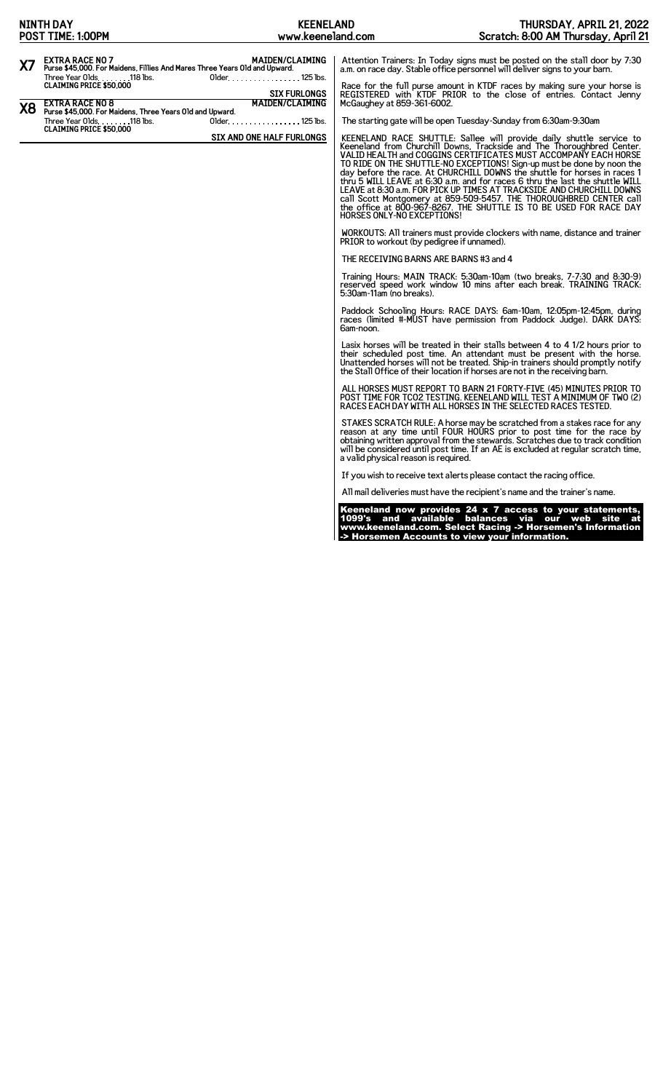|           | <b>NINTH DAY</b><br>POST TIME: 1:00PM                                                                                                                        | <b>KEENELAND</b><br>www.keeneland.com                            |                                            | THURSDAY, APRIL 21, 2022<br>Scratch: 8:00 AM Thursday, April 21                                                                                                                                                                                                                                                                                                                                                                                                                                                                                                                                        |
|-----------|--------------------------------------------------------------------------------------------------------------------------------------------------------------|------------------------------------------------------------------|--------------------------------------------|--------------------------------------------------------------------------------------------------------------------------------------------------------------------------------------------------------------------------------------------------------------------------------------------------------------------------------------------------------------------------------------------------------------------------------------------------------------------------------------------------------------------------------------------------------------------------------------------------------|
| X7        | <b>EXTRA RACE NO 7</b><br>Purse \$45,000. For Maidens, Fillies And Mares Three Years Old and Upward.<br>Three Year Olds. 118 lbs.<br>CLAIMING PRICE \$50,000 | <b>MAIDEN/CLAIMING</b><br>Older. 125 lbs.<br><b>SIX FURLONGS</b> |                                            | Attention Trainers: In Today signs must be posted on the stall door by 7:30<br>a.m. on race day. Stable office personnel will deliver signs to your barn.<br>Race for the full purse amount in KTDF races by making sure your horse is<br>REGISTERED with KTDF PRIOR to the close of entries. Contact Jenny                                                                                                                                                                                                                                                                                            |
| <b>X8</b> | <b>EXTRA RACE NO 8</b><br>Purse \$45,000. For Maidens, Three Years Old and Upward.<br>Three Year Olds. 118 lbs.<br><b>CLAIMING PRICE \$50,000</b>            | <b>MAIDEN/CLAIMING</b><br>Older. 125 lbs.                        | McGaughey at 859-361-6002.                 | The starting gate will be open Tuesday-Sunday from 6:30am-9:30am                                                                                                                                                                                                                                                                                                                                                                                                                                                                                                                                       |
|           |                                                                                                                                                              | SIX AND ONE HALF FURLONGS                                        | HORSES ONLY-NO EXCEPTIONS!                 | KEENELAND RACE SHUTTLE: Sallee will provide daily shuttle service to<br>Keeneland from Churchill Downs, Trackside and The Thoroughbred Center.<br>VALID HEALTH and COGGINS CERTIFICATES MUST ACCOMPANY EACH HORSE<br>TO RIDE ON THE SHUTTLE-NO EXCEPTIONS! Sign-up must be done by noon the<br>day before the race. At CHURCHILL DOWNS the shuttle for horses in races 1<br>thru 5 WILL LEAVE at 6:30 a.m. and for races 6 thru the last the shuttle WILL<br>call Scott Montgomery at 859-509-5457. THE THOROUGHBRED CENTER call<br>the office at 800-967-8267. THE SHUTTLE IS TO BE USED FOR RACE DAY |
|           |                                                                                                                                                              |                                                                  | PRIOR to workout (by pedigree if unnamed). | WORKOUTS: All trainers must provide clockers with name, distance and trainer                                                                                                                                                                                                                                                                                                                                                                                                                                                                                                                           |
|           |                                                                                                                                                              |                                                                  | THE RECEIVING BARNS ARE BARNS #3 and 4     |                                                                                                                                                                                                                                                                                                                                                                                                                                                                                                                                                                                                        |
|           |                                                                                                                                                              |                                                                  | 5:30am-11am (no breaks).                   | Training Hours: MAIN TRACK: 5:30am-10am (two breaks, 7-7:30 and 8:30-9)<br>reserved speed work window 10 mins after each break. TRAINING TRACK:                                                                                                                                                                                                                                                                                                                                                                                                                                                        |
|           |                                                                                                                                                              |                                                                  | 6am-noon.                                  | Paddock Schooling Hours: RACE DAYS: 6am-10am, 12:05pm-12:45pm, during<br>races (limited #-MUST have permission from Paddock Judge). DARK DAYS:                                                                                                                                                                                                                                                                                                                                                                                                                                                         |
|           |                                                                                                                                                              |                                                                  |                                            | Lasix horses will be treated in their stalls between 4 to 4 1/2 hours prior to<br>their scheduled post time. An attendant must be present with the horse.<br>Unattended horses will not be treated. Ship-in trainers should promptly notify<br>the Stall Office of their location if horses are not in the receiving barn.                                                                                                                                                                                                                                                                             |
|           |                                                                                                                                                              |                                                                  |                                            | ALL HORSES MUST REPORT TO BARN 21 FORTY-FIVE (45) MINUTES PRIOR TO<br>POST TIME FOR TCO2 TESTING. KEENELAND WILL TEST A MINIMUM OF TWO (2) RACES EACH DAY WITH ALL HORSES IN THE SELECTED RACES TESTED.                                                                                                                                                                                                                                                                                                                                                                                                |
|           |                                                                                                                                                              |                                                                  | a valid physical reason is required.       | STAKES SCRATCH RULE: A horse may be scratched from a stakes race for any reason at any time until FOUR HOURS prior to post time for the race by<br>obtaining written approval from the stewards. Scratches due to track condition<br>will be considered until post time. If an AE is excluded at regular scratch time,                                                                                                                                                                                                                                                                                 |
|           |                                                                                                                                                              |                                                                  |                                            | If you wish to receive text alerts please contact the racing office.                                                                                                                                                                                                                                                                                                                                                                                                                                                                                                                                   |
|           |                                                                                                                                                              |                                                                  |                                            | All mail deliveries must have the recipient's name and the trainer's name.                                                                                                                                                                                                                                                                                                                                                                                                                                                                                                                             |
|           |                                                                                                                                                              |                                                                  |                                            | Keeneland now provides 24 x 7 access to your statements,<br>1099's and available balances via our web site at<br>www.keeneland.com. Select Racing -> Horsemen's Information<br>-> Horsemen Accounts to view your information.                                                                                                                                                                                                                                                                                                                                                                          |
|           |                                                                                                                                                              |                                                                  |                                            |                                                                                                                                                                                                                                                                                                                                                                                                                                                                                                                                                                                                        |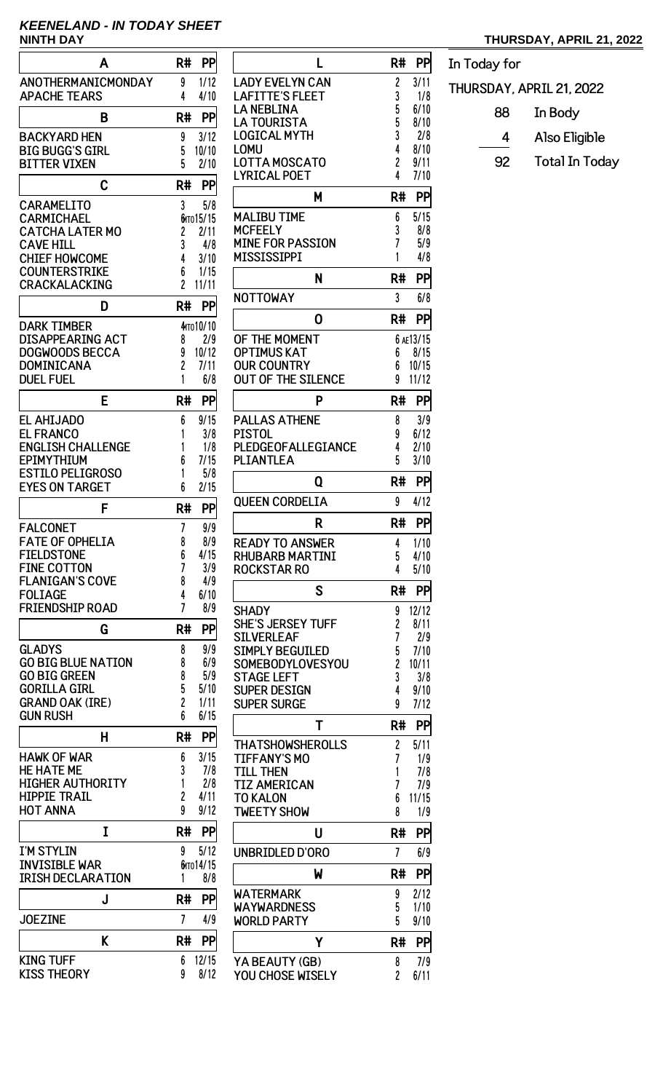# **KEENELAND - IN TODAY SHEET**

| A                                                | R#<br>PP                    |
|--------------------------------------------------|-----------------------------|
| ANOTHERMANICMONDAY                               | 9<br>1/12                   |
| <b>APACHE TEARS</b>                              | 4<br>4/10                   |
| B                                                | R#<br>PP                    |
| BACKYARD HEN<br><b>BIG BUGG'S GIRL</b>           | 3/12<br>9<br>5<br>10/10     |
| <b>BITTER VIXEN</b>                              | 5<br>2/10                   |
| C                                                | PP<br>R#                    |
| <b>CARAMELITO</b>                                | 3<br>5/8                    |
| CARMICHAEL<br><b>CATCHA LATER MO</b>             | бито 15/15<br>2<br>2/11     |
| <b>CAVE HILL</b>                                 | 3<br>4/8                    |
| <b>CHIEF HOWCOME</b><br><b>COUNTERSTRIKE</b>     | 4<br>3/10<br>6<br>1/15      |
| CRACKALACKING                                    | $\overline{c}$<br>11/11     |
| D                                                | R#<br>PP                    |
| <b>DARK TIMBER</b>                               | 4 то 10/10                  |
| DISAPPEARING ACT                                 | 2/9<br>8                    |
| <b>DOGWOODS BECCA</b><br>DOMINICANA              | 10/12<br>9<br>2<br>7/11     |
| <b>DUEL FUEL</b>                                 | 6/8<br>1                    |
| E                                                | R#<br>PP                    |
| <b>EL AHIJADO</b>                                | 9/15<br>6                   |
| <b>EL FRANCO</b><br><b>ENGLISH CHALLENGE</b>     | 1<br>3/8<br>1/8<br>1        |
| <b>EPIMYTHIUM</b>                                | 7/15<br>6                   |
| <b>ESTILO PELIGROSO</b><br><b>EYES ON TARGET</b> | 5/8<br>1<br>2/15<br>6       |
| F                                                | R#<br>PP                    |
|                                                  |                             |
| FALCONET<br><b>FATE OF OPHELIA</b>               | 7<br>9/9<br>8<br>8/9        |
| <b>FIELDSTONE</b>                                | 6<br>4/15                   |
| <b>FINE COTTON</b><br><b>FLANIGAN'S COVE</b>     | 7<br>3/9<br>4/9<br>8        |
| <b>FOLIAGE</b>                                   | 4<br>6/10                   |
| <b>FRIENDSHIP ROAD</b>                           | 7<br>8/9                    |
| G                                                | PP<br>R#                    |
| <b>GLADYS</b><br><b>GO BIG BLUE NATION</b>       | 9/9<br>8<br>8<br>6/9        |
| <b>GO BIG GREEN</b>                              | 8<br>5/9                    |
| <b>GORILLA GIRL</b>                              | 5<br>5/10<br>$\overline{c}$ |
| <b>GRAND OAK (IRE)</b><br><b>GUN RUSH</b>        | 1/11<br>6<br>6/15           |
| н                                                | PP<br>R#                    |
| <b>HAWK OF WAR</b>                               | 3/15<br>6                   |
| <b>HE HATE ME</b><br><b>HIGHER AUTHORITY</b>     | 3<br>7/8<br>1<br>2/8        |
| <b>HIPPIE TRAIL</b>                              | 2<br>4/11                   |
| <b>HOT ANNA</b>                                  | 9<br>9/12                   |
| I                                                | PP<br>R#                    |
| I'M STYLIN                                       | 5/12<br>9                   |
| <b>INVISIBLE WAR</b><br><b>IRISH DECLARATION</b> | бито 14/15<br>8/8<br>1      |
| J                                                | R#<br>PP                    |
| <b>JOEZINE</b>                                   | 7<br>4/9                    |
| K                                                | R#<br>PP                    |
| <b>KING TUFF</b>                                 | 12/15<br>6                  |
| KISS THEORY                                      | 9<br>8/12                   |

| L                                  | R#                  | PP          |
|------------------------------------|---------------------|-------------|
| <b>LADY EVELYN CAN</b>             | 2                   | 3/11        |
| <b>LAFITTE'S FLEET</b>             | 3                   | 1/8         |
| LA NEBLINA                         | 5                   | 6/10        |
| <b>LA TOURISTA</b>                 | 5                   | 8/10        |
| LOGICAL MYTH                       | 3                   | 2/8         |
| LOMU                               | 4                   | 8/10        |
| LOTTA MOSCATO                      | 2                   | 9/11        |
| LYRICAL POET                       | 4                   | 7/10        |
| м                                  | R#                  | PP          |
| MALIBU TIME                        | 6                   | 5/15        |
| <b>MCFEELY</b>                     | 3                   | 8/8         |
| <b>MINE FOR PASSION</b>            | 7                   | 5/9         |
| <b>MISSISSIPPI</b>                 | 1                   | 4/8         |
| N                                  | R#                  | PP          |
|                                    |                     |             |
| <b>NOTTOWAY</b>                    | 3                   | 6/8         |
| 0                                  | R#                  | PP          |
| OF THE MOMENT                      |                     | 6 AE13/15   |
| <b>OPTIMUS KAT</b>                 | 6                   | 8/15        |
| <b>OUR COUNTRY</b>                 | 6                   | 10/15       |
| <b>OUT OF THE SILENCE</b>          | 9                   | 11/12       |
| P                                  | R#                  | PP          |
| <b>PALLAS ATHENE</b>               | 8                   | 3/9         |
| PISTOL                             | 9                   | 6/12        |
| PLEDGEOFALLEGIANCE                 | 4                   | 2/10        |
| PLIANTLEA                          | 5                   | 3/10        |
| Q                                  | R#                  | PP          |
| <b>OUEEN CORDELIA</b>              | 9                   | 4/12        |
|                                    |                     |             |
|                                    |                     |             |
| R                                  | R#                  | PP          |
| <b>READY TO ANSWER</b>             | 4                   | 1/10        |
| RHUBARB MARTINI                    | 5                   | 4/10        |
| <b>ROCKSTAR RO</b>                 | 4                   | 5/10        |
| S                                  | R#                  | PP          |
| <b>SHADY</b>                       | 9                   | 12/12       |
| SHE'S JERSEY TUFF                  |                     | 8/11        |
| SILVERLEAF                         | $\overline{c}$<br>7 | 2/9         |
| <b>SIMPLY BEGUILED</b>             | 5                   | 7/10        |
| SOMEBODYLOVESYOU                   | 2                   | 10/11       |
| <b>STAGE LEFT</b>                  | 3                   | 3/8         |
| <b>SUPER DESIGN</b>                | 4                   | 9/10        |
| <b>SUPER SURGE</b>                 | 9                   | 7/12        |
| T                                  | R#                  | PP          |
| THATSHOWSHEROLLS                   | 2                   | 5/11        |
| <b>TIFFANY'S MO</b>                | 7                   | 1/9         |
| <b>TILL THEN</b>                   | 1                   | 7/8         |
| <b>TIZ AMERICAN</b>                | 7                   | 7/9         |
| <b>TO KALON</b>                    | 6                   | 11/15       |
| <b>TWEETY SHOW</b>                 | 8                   | 1/9         |
| U                                  | R#                  | PP          |
| UNBRIDLED D'ORO                    | 7                   | 6/9         |
| W                                  | R#                  | PP          |
| WATERMARK                          | 9                   | 2/12        |
| WAYWARDNESS                        | 5                   | 1/10        |
| <b>WORLD PARTY</b>                 | 5                   | 9/10        |
| Υ                                  | R#                  | PP          |
|                                    |                     |             |
| YA BEAUTY (GB)<br>YOU CHOSE WISELY | 8<br>$\overline{c}$ | 7/9<br>6/11 |

## **NINTH DAY THURSDAY, APRIL 21, 2022**

| In Today for             |                       |  |  |  |  |
|--------------------------|-----------------------|--|--|--|--|
| THURSDAY, APRIL 21, 2022 |                       |  |  |  |  |
| 88                       | In Body               |  |  |  |  |
| 4                        | Also Eligible         |  |  |  |  |
| 92                       | <b>Total In Today</b> |  |  |  |  |